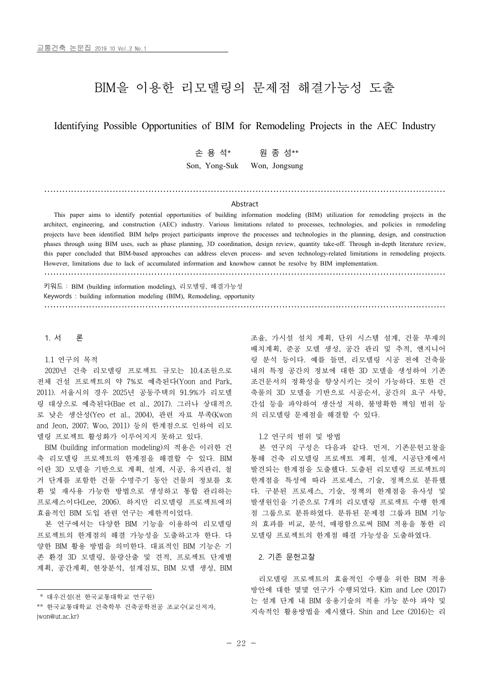# BIM을 이용한 리모델링의 문제점 해결가능성 도출

Identifying Possible Opportunities of BIM for Remodeling Projects in the AEC Industry

손 용 석\* 원 종 성\*\*

Son, Yong-Suk Won, Jongsung

#### Abstract

………………………………………………………………………………………………………………………

This paper aims to identify potential opportunities of building information modeling (BIM) utilization for remodeling projects in the architect, engineering, and construction (AEC) industry. Various limitations related to processes, technologies, and policies in remodeling projects have been identified. BIM helps project participants improve the processes and technologies in the planning, design, and construction phases through using BIM uses, such as phase planning, 3D coordination, design review, quantity take-off. Through in-depth literature review, this paper concluded that BIM-based approaches can address eleven process- and seven technology-related limitations in remodeling projects. However, limitations due to lack of accumulated information and knowhow cannot be resolve by BIM implementation.

………………………………………………………………………………………………………………………

키워드 : BIM (building information modeling), 리모델링, 해결가능성 Keywords : building information modeling (BIM), Remodeling, opportunity ………………………………………………………………………………………………………………………

1. 서 론

1.1 연구의 목적\*

2020년 건축 리모델링 프로젝트 규모는 10.4조원으로 전체 건설 프로젝트의 약 7%로 예측된다(Yoon and Park, 2011). 서울시의 경우 2025년 공동주택의 91.9%가 리모델 링 대상으로 예측된다(Bae et al., 2017). 그러나 상대적으 로 낮은 생산성(Yeo et al., 2004), 관련 자료 부족(Kwon and Jeon, 2007; Woo, 2011) 등의 한계점으로 인하여 리모 델링 프로젝트 활성화가 이루어지지 못하고 있다.<br>- BIM (building information modeling)의 적용은 이러한 건

축 리모델링 프로젝트의 한계점을 해결할 수 있다. BIM 이란 3D 모델을 기반으로 계획, 설계, 시공, 유지관리, 철 거 단계를 포함한 건물 수명주기 동안 건물의 정보를 호 환 및 재사용 가능한 방법으로 생성하고 통합 관리하는 프로세스이다(Lee, 2006). 하지만 리모델링 프로젝트에의 효율적인 BIM 도입 관련 연구는 제한적이었다.<br>- 본 연구에서는 다양한 BIM 기능을 이용하여 리모델링

프로젝트의 한계점의 해결 가능성을 도출하고자 한다. 다 양한 BIM 활용 방법을 의미한다. 대표적인 BIM 기능은 기 존 환경 3D 모델링, 물량산출 및 견적, 프로젝트 단계별 계획, 공간계획, 현장분석, 설계검토, BIM 모델 생성, BIM

조율, 가시설 설치 계획, 단위 시스템 설계, 건물 부재의 배치계획, 준공 모델 생성, 공간 관리 및 추적, 엔지니어 링 분석 등이다. 예를 들면, 리모델링 시공 전에 건축물 내의 특정 공간의 정보에 대한 3D 모델을 생성하여 기존 조건문서의 정확성을 향상시키는 것이 가능하다. 또한 건 간섭 등을 파악하여 생산성 저하, 불명확한 책임 범위 등 의 리모델링 문제점을 해결할 수 있다.

1.2 연구의 범위 및 방법

본 연구의 구성은 다음과 같다. 먼저, 기존문헌고찰을 통해 건축 리모델링 프로젝트 계획, 설계, 시공단계에서 발견되는 한계점을 도출했다. 도출된 리모델링 프로젝트의 한계점을 특성에 따라 프로세스, 기술, 정책으로 분류했 다. 구분된 프로세스, 기술, 정책의 한계점을 유사성 및 발생원인을 기준으로 7개의 리모델링 프로젝트 수행 한계 점 그룹으로 분류하였다. 분류된 문제점 그룹과 BIM 기능 의 효과를 비교, 분석, 매핑함으로써 BIM 적용을 통한 리 모델링 프로젝트의 한계점 해결 가능성을 도출하였다.

## 2. 기존 문헌고찰

리모델링 프로젝트의 효율적인 수행을 위한 BIM 적용 방안에 대한 몇몇 연구가 수행되었다. Kim and Lee (2017) 는 설계 단계 내 BIM 응용기술의 적용 가능 분야 파악 및 지속적인 활용방법을 제시했다. Shin and Lee (2016)는 리

<sup>\*</sup> 대우건설(전 한국교통대학교 연구원)

<sup>\*\*</sup> 한국교통대학교 건축학부 건축공학전공 조교수(교신저자, jwon@ut.ac.kr)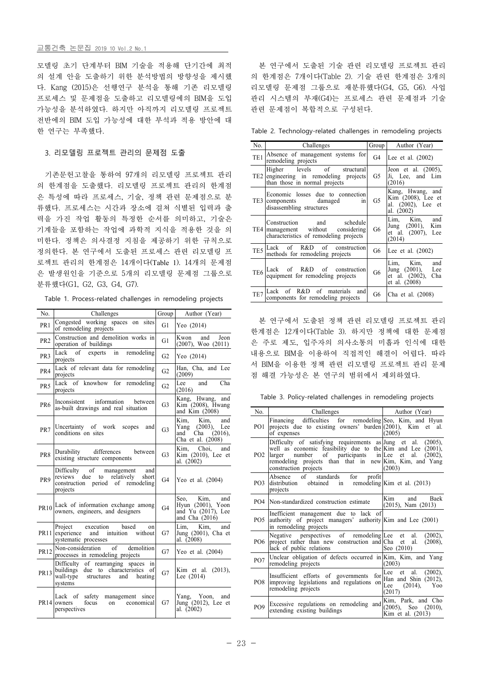#### 교통건축 논문집 2019 10 Vol.2 No.1

모델링 초기 단계부터 BIM 기술을 적용해 단기간에 최적 의 설계 안을 도출하기 위한 분석방법의 방향성을 제시했 다. Kang (2015)은 선행연구 분석을 통해 기존 리모델링 프로세스 및 문제점을 도출하고 리모델링에의 BIM을 도입 가능성을 분석하였다. 하지만 아직까지 리모델링 프로젝트 전반에의 BIM 도입 가능성에 대한 부석과 적용 방안에 대 한 연구는 부족했다.

# 3. 리모델링 프로젝트 관리의 문제점 도출

기존문헌고찰을 통하여 97개의 리모델링 프로젝트 관리 의 한계점을 도출했다. 리모델링 프로젝트 관리의 한계점 은 특성에 따라 프로세스, 기술, 정책 관련 문제점으로 분 류했다. 프로세스는 시간과 장소에 걸쳐 식별된 입력과 출 력을 가진 작업 활동의 특정한 순서를 의미하고, 기술은 기계들을 포함하는 작업에 과학적 지식을 적용한 것을 의 미한다. 정책은 의사결정 지침을 제공하기 위한 규칙으로 정의한다. 본 연구에서 도출된 프로세스 관련 리모델링 프 로젝트 관리의 한계점은 14개이다(Table 1). 14개의 문제점 은 발생원인을 기준으로 5개의 리모델링 문제점 그룹으로 분류했다(G1, G2, G3, G4, G7).

Table 1. Process-related challenges in remodeling projects

| No.             | Challenges                                                                                                                         | Group          | Author (Year)                                                                         |
|-----------------|------------------------------------------------------------------------------------------------------------------------------------|----------------|---------------------------------------------------------------------------------------|
| PR <sub>1</sub> | Congested working spaces on sites<br>of remodeling projects                                                                        | G1             | Yeo $(2014)$                                                                          |
| PR <sub>2</sub> | Construction and demolition works in<br>operation of buildings                                                                     | G1             | Jeon<br>Kwon<br>and<br>$(2007)$ , Woo $(2011)$                                        |
| PR <sub>3</sub> | Lack<br>of<br>experts in<br>remodeling<br>projects                                                                                 | G2             | Yeo (2014)                                                                            |
| PR4             | Lack of relevant data for remodeling<br>projects                                                                                   | G2             | Han, Cha, and Lee<br>(2009)                                                           |
| PR <sub>5</sub> | Lack of knowhow for remodeling<br>projects                                                                                         | G2             | Cha<br>Lee<br>and<br>(2016)                                                           |
| PR <sub>6</sub> | Inconsistent information<br>between<br>as-built drawings and real situation                                                        | G3             | Kang, Hwang, and<br>Kim (2008), Hwang<br>and Kim (2008)                               |
| PR7             | Uncertainty of work scopes<br>and<br>conditions on sites                                                                           | G <sub>3</sub> | Kim.<br>Kim.<br>and<br>Yang (2003), Lee<br>Cha $(2016)$ ,<br>and<br>Cha et al. (2008) |
| PR8             | Durability differences<br>between<br>existing structure components                                                                 | G <sub>3</sub> | Kim. Choi. and<br>Kim (2010), Lee et<br>al. (2002)                                    |
| PR <sub>9</sub> | Difficulty of<br>management<br>and<br>reviews due<br>to relatively<br>short<br>construction period of remodeling<br>projects       | G4             | Yeo et al. (2004)                                                                     |
| PR10            | Lack of information exchange among<br>owners, engineers, and designers                                                             | G4             | Kim,<br>Seo,<br>and<br>Hyun (2001), Yoon<br>and Yu (2017), Lee<br>and Cha (2016)      |
| <b>PR11</b>     | Project execution<br>based<br>on<br>without<br>experience<br>and<br>intuition<br>systematic processes                              | G7             | Lim.<br>Kim,<br>and<br>Jung (2001), Cha et<br>al. $(2008)$                            |
| <b>PR12</b>     | Non-consideration of<br>demolition<br>processes in remodeling projects                                                             | G7             | Yeo et al. (2004)                                                                     |
| <b>PR13</b>     | Difficulty of rearranging spaces in<br>buildings due to characteristics<br>of<br>wall-type structures<br>and<br>heating<br>systems | G7             | Kim et al. (2013),<br>Lee $(2014)$                                                    |
|                 | safety management<br>Lack of<br>since<br>PR14 owners<br>on economical<br>focus<br>perspectives                                     | G7             | Yang, Yoon, and<br>Jung (2012), Lee et<br>al. $(2002)$                                |

본 연구에서 도출된 기술 관련 리모델링 프로젝트 관리 의 한계점은 7개이다(Table 2). 기술 관련 한계점은 3개의 리모델링 문제점 그룹으로 재분류했다(G4, G5, G6). 사업 관리 시스템의 부재(G4)는 프로세스 관련 문제점과 기술 관련 문제점이 복합적으로 구성된다.

Table 2. Technology-related challenges in remodeling projects

| No.             | Challenges                                                                                                           | Group | Author (Year)                                                               |
|-----------------|----------------------------------------------------------------------------------------------------------------------|-------|-----------------------------------------------------------------------------|
| TE1             | Absence of management systems for<br>remodeling projects                                                             | G4    | Lee et al. (2002)                                                           |
| TE <sub>2</sub> | Higher levels of<br>structural<br>engineering in remodeling projects<br>than those in normal projects                | G5    | Jeon et al. $(2005)$ ,<br>Ji, Lee, and Lim<br>(2016)                        |
|                 | Economic losses due to connection<br>TE3 components damaged<br>in<br>disassembling structures                        | G5    | Kang, Hwang, and<br>Kim (2008), Lee et<br>al. (2002), Lee et<br>al. (2002)  |
|                 | schedule<br>Construction<br>and<br>TE4   management without<br>considering<br>characteristics of remodeling projects | G6    | Lim, Kim,<br>and<br>Jung (2001), Kim<br>et al. (2007), Lee<br>(2014)        |
|                 | TE5 Lack of R&D of construction<br>methods for remodeling projects                                                   | G6    | Lee et al. $(2002)$                                                         |
| TE <sub>6</sub> | Lack of R&D of construction<br>equipment for remodeling projects                                                     | G6    | Lim, Kim,<br>and<br>Jung (2001), Lee<br>et al. (2002), Cha<br>et al. (2008) |
| TE7             | Lack of R&D of materials and<br>components for remodeling projects                                                   | G6    | Cha et al. (2008)                                                           |

본 연구에서 도출된 정책 관련 리모델링 프로젝트 관리 한계점은 12개이다(Table 3). 하지만 정책에 대한 문제점 은 주로 제도, 입주자의 의사소통의 미흡과 인식에 대한 내용으로 BIM을 이용하여 직접적인 해결이 어렵다. 따라 서 BIM을 이용한 정책 관련 리모델링 프로젝트 관리 문제 점 해결 가능성은 본 연구의 범위에서 제외하였다.

Table 3. Policy-related challenges in remodeling projects

| No.             | Challenges                                                                                                                                                                                                                                           | Author (Year)                                                                 |
|-----------------|------------------------------------------------------------------------------------------------------------------------------------------------------------------------------------------------------------------------------------------------------|-------------------------------------------------------------------------------|
| PO1             | Financing difficulties for remodeling Seo, Kim, and Hyun<br>projects due to existing owners' burden $(2001)$ , Kim et<br>of expenses                                                                                                                 | al.<br>(2005)                                                                 |
| PO <sub>2</sub> | Difficulty of satisfying requirements as Jung et al. (2005), well as economic feasibility due to the Kim and Lee (2001),<br>larger number of participants in Lee<br>remodeling projects than that in new Kim, Kim, and Yang<br>construction projects | et al.<br>$(2002)$ ,<br>(2003)                                                |
| PO <sub>3</sub> | Absence of standards for profit<br>distribution obtained in remodeling Kim et al. (2013)<br>projects                                                                                                                                                 |                                                                               |
| PO <sub>4</sub> | Non-standardized construction estimate                                                                                                                                                                                                               | Kim<br>and Baek<br>$(2015)$ , Nam $(2013)$                                    |
| PO <sub>5</sub> | Inefficient management due to lack of<br>authority of project managers' authority Kim and Lee (2001)<br>in remodeling projects                                                                                                                       |                                                                               |
| PO <sub>6</sub> | Negative perspectives of remodeling Lee et al. (2002),<br>project rather than new construction and Cha et al.<br>lack of public relations                                                                                                            | $(2008)$ ,<br>Seo (2010)                                                      |
| PO <sub>7</sub> | Unclear obligation of defects occurred in Kim, Kim, and Yang<br>remodeling projects                                                                                                                                                                  | (2003)                                                                        |
| PO <sub>8</sub> | Insufficient efforts of governments<br>for<br>improving legislations and regulations on<br>remodeling projects                                                                                                                                       | Lee et al. (2002),<br>Han and Shin $(2012)$ ,<br>Lee $(2014)$ , Yoo<br>(2017) |
| PO <sub>9</sub> | Excessive regulations on remodeling and<br>extending existing buildings                                                                                                                                                                              | Kim, Park, and Cho<br>$(2005)$ , Seo $(2010)$ ,<br>Kim et al. (2013)          |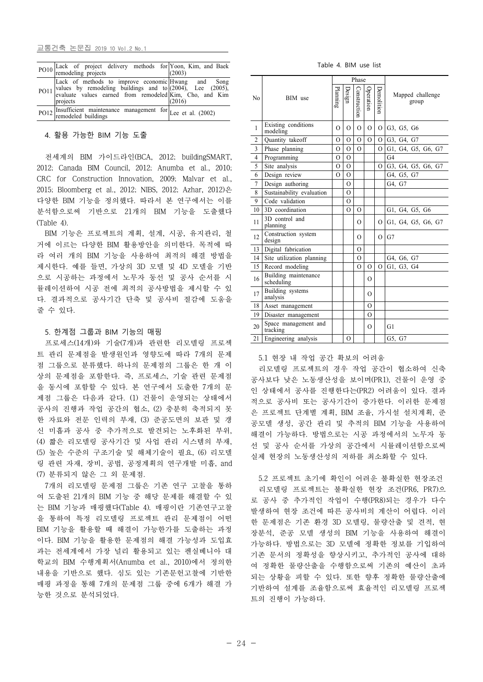교통건축 논문집 2019 10 Vol.2 No.1

| PO10 Lack of project delivery methods for Yoon, Kim, and Baek<br>remodeling projects (2003)                                                                                                        |        |
|----------------------------------------------------------------------------------------------------------------------------------------------------------------------------------------------------|--------|
| Lack of methods to improve economic Hwang and Song<br>politically values by remodeling buildings and to (2004), Lee (2005),<br>evaluate values earned from remodeled Kim, Cho, and Kim<br>projects | (2016) |
| PO12 Insufficient maintenance management for Lee et al. (2002)                                                                                                                                     |        |

## 4. 활용 가능한 BIM 기능 도출

전세계의 BIM 가이드라인(BCA, 2012; buildingSMART, 2012; Canada BIM Council, 2012; Anumba et al., 2010; CRC for Construction Innovation, 2009; Malvar et al., 2015; Bloomberg et al., 2012; NIBS, 2012; Azhar, 2012)은 다양한 BIM 기능을 정의했다. 따라서 본 연구에서는 이를 분석함으로써 기반으로 21개의 BIM 기능을 도출했다 (Table 4).

BIM 기능은 프로젝트의 계획, 설계, 시공, 유지관리, 철 거에 이르는 다양한 BIM 활용방안을 의미한다. 목적에 따 라 여러 개의 BIM 기능을 사용하여 최적의 해결 방법을 제시한다. 예를 들면, 가상의 3D 모델 및 4D 모델을 기반 으로 시공하는 과정에서 노무자 동선 및 공사 순서를 시 뮬레이션하여 시공 전에 최적의 공사방법을 제시할 수 있 다. 결과적으로 공사기간 단축 및 공사비 절감에 도움을 줄 수 있다.

#### 5. 한계점 그룹과 BIM 기능의 매핑

프로세스(14개)와 기술(7개)과 관련한 리모델링 프로젝 트 관리 문제점을 발생원인과 영향도에 따라 7개의 문제 점 그룹으로 분류했다. 하나의 문제점의 그룹은 한 개 이 상의 문제점을 포함한다. 즉, 프로세스, 기술 관련 문제점 을 동시에 포함할 수 있다. 본 연구에서 도출한 7개의 문 제점 그룹은 다음과 같다. (1) 건물이 운영되는 상태에서 공사의 진행과 작업 공간의 협소, (2) 충분히 축적되지 못 한 자료와 전문 인력의 부재, (3) 준공도면의 보관 및 갱 신 미흡과 공사 중 추가적으로 발견되는 노후화된 부위, (4) 짧은 리모델링 공사기간 및 사업 관리 시스템의 부재, (5) 높은 수준의 구조기술 및 해체기술이 필요, (6) 리모델 링 관련 자재, 장비, 공법, 공정계획의 연구개발 미흡, and (7) 분류되지 않은 그 외 문제점.

7개의 리모델링 문제점 그룹은 기존 연구 고찰을 통하 여 도출된 21개의 BIM 기능 중 해당 문제를 해결할 수 있 는 BIM 기능과 매핑했다(Table 4). 매핑이란 기존연구고찰 을 통하여 특정 리모델링 프로젝트 관리 문제점이 어떤 BIM 기능을 활용할 때 해결이 가능한가를 도출하는 과정 이다. BIM 기능을 활용한 문제점의 해결 가능성과 도입효 과는 전세계에서 가장 널리 활용되고 있는 펜실베니아 대 학교의 BIM 수행계획서(Anumba et al., 2010)에서 정의한 내용을 기반으로 했다. 심도 있는 기존문헌고찰에 기반한 매핑 과정을 통해 7개의 문제점 그룹 중에 6개가 해결 가 능한 것으로 분석되었다.

Table 4. BIM use list

|                |                                    |              | Phase          |              |           |                |                           |
|----------------|------------------------------------|--------------|----------------|--------------|-----------|----------------|---------------------------|
| N <sub>0</sub> | BIM use                            | Planning     | Design         | Construction | Operation | Demolition     | Mapped challenge<br>group |
| $\mathbf{1}$   | Existing conditions<br>modeling    | $\Omega$     | $\Omega$       | $\Omega$     | $\Omega$  | $\overline{O}$ | G3, G5, G6                |
| $\overline{c}$ | Quantity takeoff                   | $\Omega$     | $\Omega$       | $\Omega$     | $\Omega$  | $\overline{O}$ | G3, G4, G7                |
| 3              | Phase planning                     | $\Omega$     | $\Omega$       | $\Omega$     |           | $\Omega$       | G1, G4, G5, G6, G7        |
| $\overline{4}$ | Programming                        | $\mathbf{O}$ | $\Omega$       |              |           |                | G <sub>4</sub>            |
| 5              | Site analysis                      | $\Omega$     | $\Omega$       |              |           | $\Omega$       | G3, G4, G5, G6, G7        |
| 6              | Design review                      | $\Omega$     | $\Omega$       |              |           |                | G4, G5, G7                |
| $\tau$         | Design authoring                   |              | $\Omega$       |              |           |                | G4, G7                    |
| 8              | Sustainability evaluation          |              | $\Omega$       |              |           |                |                           |
| 9              | Code validation                    |              | $\Omega$       |              |           |                |                           |
| 10             | 3D coordination                    |              | $\Omega$       | $\Omega$     |           |                | G1, G4, G5, G6            |
| 11             | 3D control and<br>planning         |              |                | $\Omega$     |           | $\Omega$       | G1, G4, G5, G6, G7        |
| 12             | Construction system<br>design      |              |                | $\Omega$     |           | $\Omega$       | G7                        |
| 13             | Digital fabrication                |              |                | $\Omega$     |           |                |                           |
| 14             | Site utilization planning          |              |                | $\Omega$     |           |                | G4, G6, G7                |
| 15             | Record modeling                    |              |                | $\Omega$     | $\Omega$  | $\Omega$       | G1, G3, G4                |
| 16             | Building maintenance<br>scheduling |              |                |              | 0         |                |                           |
| 17             | Building systems<br>analysis       |              |                |              | $\Omega$  |                |                           |
| 18             | Asset management                   |              |                |              | $\Omega$  |                |                           |
| 19             | Disaster management                |              |                |              | O         |                |                           |
| 20             | Space management and<br>tracking   |              |                |              | $\Omega$  |                | G1                        |
| 21             | Engineering analysis               |              | $\overline{O}$ |              |           |                | G5, G7                    |

### 5.1 현장 내 작업 공간 확보의 어려움

리모델링 프로젝트의 경우 작업 공간이 협소하여 신축 공사보다 낮은 노동생산성을 보이며(PR1), 건물이 운영 중 인 상태에서 공사를 진행한다는(PR2) 어려움이 있다. 결과 적으로 공사비 또는 공사기간이 증가한다. 이러한 문제점 은 프로젝트 단계별 계획, BIM 조율, 가시설 설치계획, 준 공모델 생성, 공간 관리 및 추적의 BIM 기능을 사용하여 해결이 가능하다. 방법으로는 시공 과정에서의 노무자 동 선 및 공사 순서를 가상의 공간에서 시뮬레이션함으로써 실제 현장의 노동생산성의 저하를 최소화할 수 있다.

5.2 프로젝트 초기에 확인이 어려운 불확실한 현장조건 리모델링 프로젝트는 불확실한 현장 조건(PR6, PR7)으 로 공사 중 추가적인 작업이 수행(PR8)되는 경우가 다수 발생하여 현장 조건에 따른 공사비의 계산이 어렵다. 이러 한 문제점은 기존 환경 3D 모델링, 물량산출 및 견적, 현 장분석, 준공 모델 생성의 BIM 기능을 사용하여 해결이 가능하다. 방법으로는 3D 모델에 정확한 정보를 기입하여 기존 문서의 정확성을 향상시키고, 추가적인 공사에 대하 여 정확한 물량산출을 수행함으로써 기존의 예산이 초과 되는 상황을 피할 수 있다. 또한 향후 정확한 물량산출에 기반하여 설계를 조율함으로써 효율적인 리모델링 프로젝 트의 진행이 가능하다.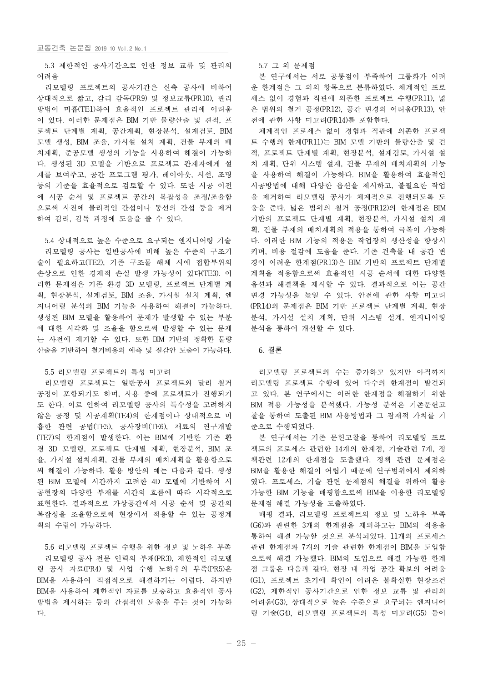5.3 제한적인 공사기간으로 인한 정보 교류 및 관리의 어려움

리모델링 프로젝트의 공사기간은 신축 공사에 비하여 상대적으로 짧고, 감리 감독(PR9) 및 정보교류(PR10), 관리 방법이 미흡(TE1)하여 효율적인 프로젝트 관리에 어려움 이 있다. 이러한 문제점은 BIM 기반 물량산출 및 견적, 프 로젝트 단계별 계획, 공간계획, 현장분석, 설계검토, BIM 모델 생성, BIM 조율, 가시설 설치 계획, 건물 부재의 배 치계획, 준공모델 생성의 기능을 사용하여 해결이 가능하 다. 생성된 3D 모델을 기반으로 프로젝트 관계자에게 설 계를 보여주고, 공간 프로그램 평가, 레이아웃, 시선, 조명 등의 기준을 효율적으로 검토할 수 있다. 또한 시공 이전 에 시공 순서 및 프로젝트 공간의 복잡성을 조정/조율함 으로써 사전에 물리적인 간섭이나 동선의 간섭 등을 제거 하여 감리, 감독 과정에 도움을 줄 수 있다.

5.4 상대적으로 높은 수준으로 요구되는 엔지니어링 기술 리모델링 공사는 일반공사에 비해 높은 수준의 구조기 술이 필요하고(TE2), 기존 구조물 해체 시에 접합부위의 손상으로 인한 경제적 손실 발생 가능성이 있다(TE3). 이 러한 문제점은 기존 환경 3D 모델링, 프로젝트 단계별 계 획, 현장분석, 설계검토, BIM 조율, 가시설 설치 계획, 엔 지니어링 분석의 BIM 기능을 사용하여 해결이 가능하다.<br>생성된 BIM 모델을 활용하여 문제가 발생할 수 있는 부분 에 대한 시각화 및 조율을 함으로써 발생할 수 있는 문제 는 사전에 제거할 수 있다. 또한 BIM 기반의 정확한 물량 산출을 기반하여 철거비용의 예측 및 절감안 도출이 가능하다.

#### 5.5 리모델링 프로젝트의 특성 미고려

리모델링 프로젝트는 일반공사 프로젝트와 달리 철거 공정이 포함되기도 하며, 사용 중에 프로젝트가 진행되기 도 한다. 이로 인하여 리모델링 공사의 특수성을 고려하지 않은 공정 및 시공계획(TE4)의 한계점이나 상대적으로 미 흡한 관련 공법(TE5), 공사장비(TE6), 재료의 연구개발 (TE7)의 한계점이 발생한다. 이는 BIM에 기반한 기존 환 경 3D 모델링, 프로젝트 단계별 계획, 현장분석, BIM 조 율, 가시설 설치계획, 건물 부재의 배치계획을 활용함으로 써 해결이 가능하다. 활용 방안의 예는 다음과 같다. 생성 된 BIM 모델에 시간까지 고려한 4D 모델에 기반하여 시 공현장의 다양한 부재를 시간의 흐름에 따라 시각적으로 표현한다. 결과적으로 가상공간에서 시공 순서 및 공간의 문제점 해결 가능성을 도출하였다. 복잡성을 조율함으로써 현장에서 적용할 수 있는 공정계 획의 수립이 가능하다.

5.6 리모델링 프로젝트 수행을 위한 정보 및 노하우 부족 리모델링 공사 전문 인력의 부재(PR3), 제한적인 리모델 링 공사 자료(PR4) 및 사업 수행 노하우의 부족(PR5)은 BIM을 사용하여 직접적으로 해결하기는 어렵다. 하지만 BIM을 사용하여 제한적인 자료를 보충하고 효율적인 공사 방법을 제시하는 등의 간접적인 도움을 주는 것이 가능하 다.

5.7 그 외 문제점

본 연구에서는 서로 공통점이 부족하여 그룹화가 어려 운 한계점은 그 외의 항목으로 분류하였다. 체계적인 프로 세스 없이 경험과 직관에 의존한 프로젝트 수행(PR11), 넓 은 범위의 철거 공정(PR12), 공간 변경의 어려움(PR13), 안 전에 관한 사항 미고려(PR14)를 포함한다.

체계적인 프로세스 없이 경험과 직관에 의존한 프로젝 트 수행의 한계(PR11)는 BIM 모델 기반의 물량산출 및 견 적, 프로젝트 단계별 계획, 현장분석, 설계검토, 가시설 설 치 계획, 단위 시스템 설계, 건물 부재의 배치계획의 기능 을 사용하여 해결이 가능하다. BIM을 활용하여 효율적인 시공방법에 대해 다양한 옵션을 제시하고, 불필요한 작업 을 제거하여 리모델링 공사가 체계적으로 진행되도록 도 움을 준다. 넓은 범위의 철거 공정(PR12)의 한계점은 BIM 기반의 프로젝트 단계별 계획, 현장분석, 가시설 설치 계 획, 건물 부재의 배치계획의 적용을 통하여 극복이 가능하 다. 이러한 BIM 기능의 적용은 작업장의 생산성을 향상시 키며, 비용 절감에 도움을 준다. 기존 건축물 내 공간 변 경이 어려운 한계점(PR13)은 BIM 기반의 프로젝트 단계별 계획을 적용함으로써 효율적인 시공 순서에 대한 다양한 옵션과 해결책을 제시할 수 있다. 결과적으로 이는 공간 변경 가능성을 높일 수 있다. 안전에 관한 사항 미고려 (PR14)의 문제점은 BIM 기반 프로젝트 단계별 계획, 현장 분석, 가시설 설치 계획, 단위 시스템 설계, 엔지니어링 분석을 통하여 개선할 수 있다.

## 6. 결론

리모델링 프로젝트의 수는 증가하고 있지만 아직까지 리모델링 프로젝트 수행에 있어 다수의 한계점이 발견되 고 있다. 본 연구에서는 이러한 한계점을 해결하기 위한 BIM 적용 가능성을 분석했다. 가능성 분석은 기존문헌고 찰을 통하여 도출된 BIM 사용방법과 그 잠재적 가치를 기 준으로 수행되었다.

본 연구에서는 기존 문헌고찰을 통하여 리모델링 프로 젝트의 프로세스 관련한 14개의 한계점, 기술관련 7개, 정 책관련 12개의 한계점을 도출했다. 정책 관련 문제점은 BIM을 활용한 해결이 어렵기 때문에 연구범위에서 제외하 였다. 프로세스, 기술 관련 문제점의 해결을 위하여 활용 가능한 BIM 기능을 매핑함으로써 BIM을 이용한 리모델링

매핑 결과, 리모델링 프로젝트의 정보 및 노하우 부족 (G6)과 관련한 3개의 한계점을 제외하고는 BIM의 적용을 통하여 해결 가능할 것으로 분석되었다. 11개의 프로세스 관련 한계점과 7개의 기술 관련한 한계점이 BIM을 도입함 으로써 해결 가능했다. BIM의 도입으로 해결 가능한 한계 점 그룹은 다음과 같다. 현장 내 작업 공간 확보의 어려움 (G1), 프로젝트 초기에 확인이 어려운 불확실한 현장조건 (G2), 제한적인 공사기간으로 인한 정보 교류 및 관리의 어려움(G3), 상대적으로 높은 수준으로 요구되는 엔지니어 링 기술(G4), 리모델링 프로젝트의 특성 미고려(G5) 등이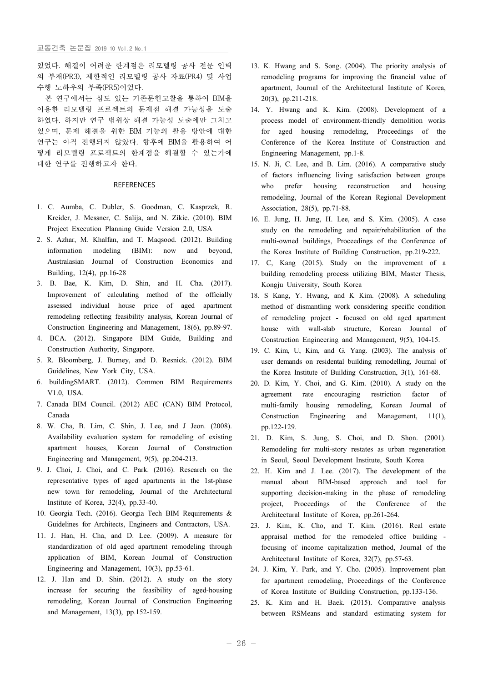있었다. 해결이 어려운 한계점은 리모델링 공사 전문 인력 의 부재(PR3), 제한적인 리모델링 공사 자료(PR4) 및 사업 <mark>수행 노하우의 부족(PR5)이었다.</mark><br>- 본 연구에서는 심도 있는 기존문헌고찰을 통하여 BIM을

이용한 리모델링 프로젝트의 문제점 해결 가능성을 도출 하였다. 하지만 연구 범위상 해결 가능성 도출에만 그치고 있으며, 문제 해결을 위한 BIM 기능의 활용 방안에 대한 연구는 아직 진행되지 않았다. 향후에 BIM을 활용하여 어 떻게 리모델링 프로젝트의 한계점을 해결할 수 있는가에 대한 연구를 진행하고자 한다.

## REFERENCES

- 1. C. Aumba, C. Dubler, S. Goodman, C. Kasprzek, R. Kreider, J. Messner, C. Salija, and N. Zikic. (2010). BIM Project Execution Planning Guide Version 2.0, USA
- 2. S. Azhar, M. Khalfan, and T. Maqsood. (2012). Building information modeling (BIM): now and beyond, Australasian Journal of Construction Economics and Building, 12(4), pp.16-28
- 3. B. Bae, K. Kim, D. Shin, and H. Cha. (2017). Improvement of calculating method of the officially assessed individual house price of aged apartment remodeling reflecting feasibility analysis, Korean Journal of Construction Engineering and Management, 18(6), pp.89-97.
- 4. BCA. (2012). Singapore BIM Guide, Building and Construction Authority, Singapore.
- 5. R. Bloomberg, J. Burney, and D. Resnick. (2012). BIM Guidelines, New York City, USA.
- 6. buildingSMART. (2012). Common BIM Requirements V1.0, USA.
- 7. Canada BIM Council. (2012) AEC (CAN) BIM Protocol, Canada
- 8. W. Cha, B. Lim, C. Shin, J. Lee, and J Jeon. (2008). Availability evaluation system for remodeling of existing apartment houses, Korean Journal of Construction Engineering and Management, 9(5), pp.204-213.
- 9. J. Choi, J. Choi, and C. Park. (2016). Research on the representative types of aged apartments in the 1st-phase new town for remodeling, Journal of the Architectural Institute of Korea, 32(4), pp.33-40.
- 10. Georgia Tech. (2016). Georgia Tech BIM Requirements & Guidelines for Architects, Engineers and Contractors, USA.
- 11. J. Han, H. Cha, and D. Lee. (2009). A measure for standardization of old aged apartment remodeling through application of BIM, Korean Journal of Construction Engineering and Management, 10(3), pp.53-61.
- 12. J. Han and D. Shin. (2012). A study on the story increase for securing the feasibility of aged-housing remodeling, Korean Journal of Construction Engineering and Management, 13(3), pp.152-159.
- 13. K. Hwang and S. Song. (2004). The priority analysis of remodeling programs for improving the financial value of apartment, Journal of the Architectural Institute of Korea, 20(3), pp.211-218.
- process model of environment-friendly demolition works for aged housing remodeling, Proceedings of the Conference of the Korea Institute of Construction and Engineering Management, pp.1-8.
- 15. N. Ji, C. Lee, and B. Lim. (2016). A comparative study of factors influencing living satisfaction between groups who prefer housing reconstruction and housing remodeling, Journal of the Korean Regional Development Association, 28(5), pp.71-88.
- 16. E. Jung, H. Jung, H. Lee, and S. Kim. (2005). A case study on the remodeling and repair/rehabilitation of the multi-owned buildings, Proceedings of the Conference of the Korea Institute of Building Construction, pp.219-222.
- 17. C, Kang (2015). Study on the improvement of a building remodeling process utilizing BIM, Master Thesis, Kongju University, South Korea
- 18. S Kang, Y. Hwang, and K Kim. (2008). A scheduling method of dismantling work considering specific condition of remodeling project - focused on old aged apartment house with wall-slab structure, Korean Journal of Construction Engineering and Management, 9(5), 104-15.
- 19. C. Kim, U, Kim, and G. Yang. (2003). The analysis of user demands on residental building remodelling, Journal of the Korea Institute of Building Construction, 3(1), 161-68.
- 20. D. Kim, Y. Choi, and G. Kim. (2010). A study on the agreement rate encouraging restriction factor of multi-family housing remodeling, Korean Journal of Construction Engineering and Management, 11(1), pp.122-129.
- 21. D. Kim, S. Jung, S. Choi, and D. Shon. (2001). Remodeling for multi-story restates as urban regeneration in Seoul, Seoul Development Institute, South Korea
- 22. H. Kim and J. Lee. (2017). The development of the manual about BIM-based approach and tool for supporting decision-making in the phase of remodeling project, Proceedings of the Conference of the Architectural Institute of Korea, pp.261-264.
- 23. J. Kim, K. Cho, and T. Kim. (2016). Real estate appraisal method for the remodeled office building - focusing of income capitalization method, Journal of the Architectural Institute of Korea, 32(7), pp.57-63.
- 24. J. Kim, Y. Park, and Y. Cho. (2005). Improvement plan for apartment remodeling, Proceedings of the Conference of Korea Institute of Building Construction, pp.133-136.
- 25. K. Kim and H. Baek. (2015). Comparative analysis between RSMeans and standard estimating system for